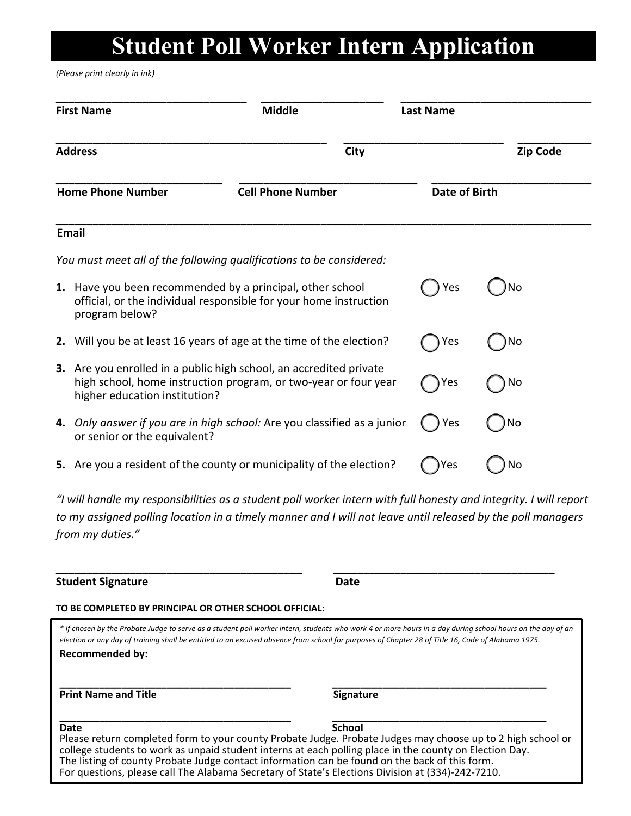# **Student Poll Worker Intern Application**

*(Please print clearly in ink)*

| <b>First Name</b>                                                                                                                                                      | <b>Middle</b>                                                         | <b>Last Name</b> |                      |  |
|------------------------------------------------------------------------------------------------------------------------------------------------------------------------|-----------------------------------------------------------------------|------------------|----------------------|--|
| <b>Address</b>                                                                                                                                                         | <b>City</b>                                                           |                  | <b>Zip Code</b>      |  |
| <b>Home Phone Number</b>                                                                                                                                               | <b>Cell Phone Number</b>                                              |                  | <b>Date of Birth</b> |  |
| Email                                                                                                                                                                  |                                                                       |                  |                      |  |
|                                                                                                                                                                        | You must meet all of the following qualifications to be considered:   |                  |                      |  |
| 1. Have you been recommended by a principal, other school<br>official, or the individual responsible for your home instruction<br>program below?                       |                                                                       | Yes              | No                   |  |
| Will you be at least 16 years of age at the time of the election?<br>2.                                                                                                |                                                                       | Yes              | No                   |  |
| 3. Are you enrolled in a public high school, an accredited private<br>high school, home instruction program, or two-year or four year<br>higher education institution? |                                                                       | Yes              | No                   |  |
| 4.<br>or senior or the equivalent?                                                                                                                                     | Only answer if you are in high school: Are you classified as a junior | Yes              | No                   |  |
|                                                                                                                                                                        | 5. Are you a resident of the county or municipality of the election?  |                  | No                   |  |

*"I will handle my responsibilities as a student poll worker intern with full honesty and integrity. I will report to my assigned polling location in a timely manner and I will not leave until released by the poll managers from my duties."* 

**Student Signature Date** 

### **TO BE COMPLETED BY PRINCIPAL OR OTHER SCHOOL OFFICIAL:**

*\* If chosen by the Probate Judge to serve as a student poll worker intern, students who work 4 or more hours in a day during school hours on the day of an election or any day of training shall be entitled to an excused absence from school for purposes of Chapter 28 of Title 16, Code of Alabama 1975.* **Recommended by:**

**\_\_\_\_\_\_\_\_\_\_\_\_\_\_\_\_\_\_\_\_\_\_\_\_\_\_\_\_\_\_\_\_\_\_\_\_\_\_\_\_ \_\_\_\_\_\_\_\_\_\_\_\_\_\_\_\_\_\_\_\_\_\_\_\_\_\_\_\_\_\_\_\_\_\_\_\_** 

**\_\_\_\_\_\_\_\_\_\_\_\_\_\_\_\_\_\_\_\_\_\_\_\_\_\_\_\_\_\_\_\_\_\_\_\_\_\_\_\_\_ \_\_\_\_\_\_\_\_\_\_\_\_\_\_\_\_\_\_\_\_\_\_\_\_\_\_\_\_\_\_\_\_\_\_\_\_\_\_ Print Name and Title Signature** Signature

Date School **Contract Contract Contract Contract Contract Contract Contract Contract Contract Contract Contract Contract Contract Contract Contract Contract Contract Contract Contract Contract Contract Contract Contract Co** Please return completed form to your county Probate Judge. Probate Judges may choose up to 2 high school or college students to work as unpaid student interns at each polling place in the county on Election Day. The listing of county Probate Judge contact information can be found on the back of this form. For questions, please call The Alabama Secretary of State's Elections Division at (334)-242-7210.

## **\_\_\_\_\_\_\_\_\_\_\_\_\_\_\_\_\_\_\_\_\_\_\_\_\_\_\_\_\_\_\_\_\_\_\_\_\_\_\_\_\_ \_\_\_\_\_\_\_\_\_\_\_\_\_\_\_\_\_\_\_\_\_\_\_\_\_\_\_\_\_\_\_\_\_\_\_\_\_\_**